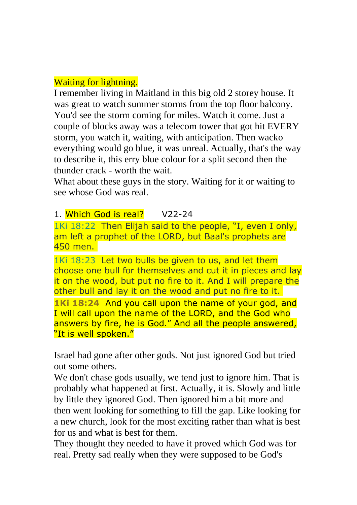## Waiting for lightning.

I remember living in Maitland in this big old 2 storey house. It was great to watch summer storms from the top floor balcony. You'd see the storm coming for miles. Watch it come. Just a couple of blocks away was a telecom tower that got hit EVERY storm, you watch it, waiting, with anticipation. Then wacko everything would go blue, it was unreal. Actually, that's the way to describe it, this erry blue colour for a split second then the thunder crack - worth the wait.

What about these guys in the story. Waiting for it or waiting to see whose God was real.

## 1. Which God is real? V22-24

1Ki 18:22 Then Elijah said to the people, "I, even I only, am left a prophet of the LORD, but Baal's prophets are 450 men.

1Ki 18:23 Let two bulls be given to us, and let them choose one bull for themselves and cut it in pieces and lay it on the wood, but put no fire to it. And I will prepare the other bull and lay it on the wood and put no fire to it.

**1Ki 18:24** And you call upon the name of your god, and I will call upon the name of the LORD, and the God who answers by fire, he is God." And all the people answered, "It is well spoken."

Israel had gone after other gods. Not just ignored God but tried out some others.

We don't chase gods usually, we tend just to ignore him. That is probably what happened at first. Actually, it is. Slowly and little by little they ignored God. Then ignored him a bit more and then went looking for something to fill the gap. Like looking for a new church, look for the most exciting rather than what is best for us and what is best for them.

They thought they needed to have it proved which God was for real. Pretty sad really when they were supposed to be God's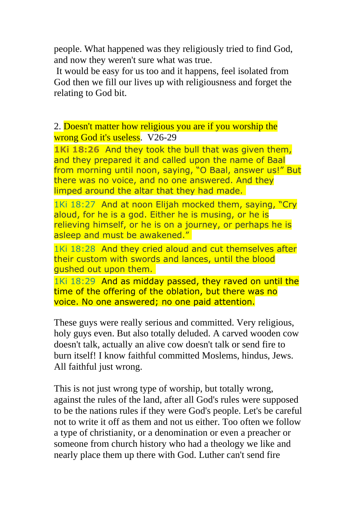people. What happened was they religiously tried to find God, and now they weren't sure what was true.

It would be easy for us too and it happens, feel isolated from God then we fill our lives up with religiousness and forget the relating to God bit.

2. Doesn't matter how religious you are if you worship the wrong God it's useless. V26-29

**1Ki 18:26** And they took the bull that was given them, and they prepared it and called upon the name of Baal from morning until noon, saying, "O Baal, answer us!" But there was no voice, and no one answered. And they limped around the altar that they had made.

1Ki 18:27 And at noon Elijah mocked them, saying, "Cry aloud, for he is a god. Either he is musing, or he is relieving himself, or he is on a journey, or perhaps he is asleep and must be awakened."

1Ki 18:28 And they cried aloud and cut themselves after their custom with swords and lances, until the blood gushed out upon them.

1Ki 18:29 And as midday passed, they raved on until the time of the offering of the oblation, but there was no voice. No one answered; no one paid attention.

These guys were really serious and committed. Very religious, holy guys even. But also totally deluded. A carved wooden cow doesn't talk, actually an alive cow doesn't talk or send fire to burn itself! I know faithful committed Moslems, hindus, Jews. All faithful just wrong.

This is not just wrong type of worship, but totally wrong, against the rules of the land, after all God's rules were supposed to be the nations rules if they were God's people. Let's be careful not to write it off as them and not us either. Too often we follow a type of christianity, or a denomination or even a preacher or someone from church history who had a theology we like and nearly place them up there with God. Luther can't send fire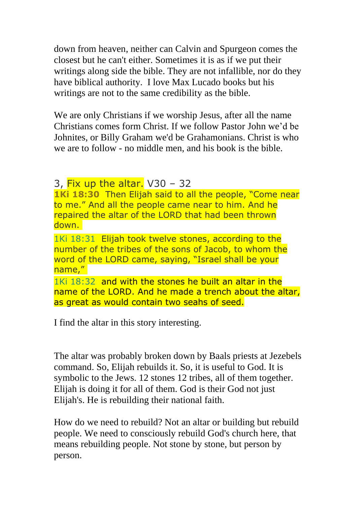down from heaven, neither can Calvin and Spurgeon comes the closest but he can't either. Sometimes it is as if we put their writings along side the bible. They are not infallible, nor do they have biblical authority. I love Max Lucado books but his writings are not to the same credibility as the bible.

We are only Christians if we worship Jesus, after all the name Christians comes form Christ. If we follow Pastor John we'd be Johnites, or Billy Graham we'd be Grahamonians. Christ is who we are to follow - no middle men, and his book is the bible.

## 3, Fix up the altar.  $V30 - 32$

**1Ki 18:30** Then Elijah said to all the people, "Come near to me." And all the people came near to him. And he repaired the altar of the LORD that had been thrown down.

1Ki 18:31 Elijah took twelve stones, according to the number of the tribes of the sons of Jacob, to whom the word of the LORD came, saying, "Israel shall be your name,"

1Ki 18:32 and with the stones he built an altar in the name of the LORD. And he made a trench about the altar, as great as would contain two seahs of seed.

I find the altar in this story interesting.

The altar was probably broken down by Baals priests at Jezebels command. So, Elijah rebuilds it. So, it is useful to God. It is symbolic to the Jews. 12 stones 12 tribes, all of them together. Elijah is doing it for all of them. God is their God not just Elijah's. He is rebuilding their national faith.

How do we need to rebuild? Not an altar or building but rebuild people. We need to consciously rebuild God's church here, that means rebuilding people. Not stone by stone, but person by person.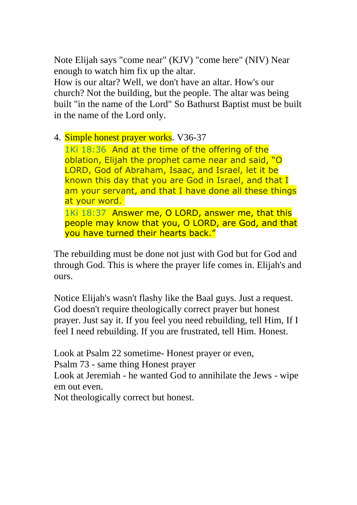Note Elijah says "come near" (KJV) "come here" (NIV) Near enough to watch him fix up the altar.

How is our altar? Well, we don't have an altar. How's our church? Not the building, but the people. The altar was being built "in the name of the Lord" So Bathurst Baptist must be built in the name of the Lord only.

4. Simple honest prayer works. V36-37

1Ki 18:36 And at the time of the offering of the oblation, Elijah the prophet came near and said, "O LORD, God of Abraham, Isaac, and Israel, let it be known this day that you are God in Israel, and that I am your servant, and that I have done all these things at your word.

1Ki 18:37 Answer me, O LORD, answer me, that this people may know that you, O LORD, are God, and that you have turned their hearts back."

The rebuilding must be done not just with God but for God and through God. This is where the prayer life comes in. Elijah's and ours.

Notice Elijah's wasn't flashy like the Baal guys. Just a request. God doesn't require theologically correct prayer but honest prayer. Just say it. If you feel you need rebuilding, tell Him, If I feel I need rebuilding. If you are frustrated, tell Him. Honest.

Look at Psalm 22 sometime- Honest prayer or even, Psalm 73 - same thing Honest prayer

Look at Jeremiah - he wanted God to annihilate the Jews - wipe em out even.

Not theologically correct but honest.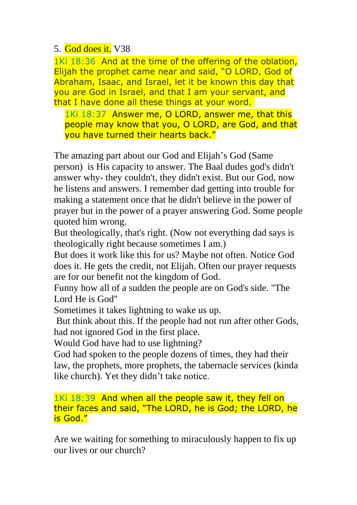## 5. God does it. V38

1Ki 18:36 And at the time of the offering of the oblation, Elijah the prophet came near and said, "O LORD, God of Abraham, Isaac, and Israel, let it be known this day that you are God in Israel, and that I am your servant, and that I have done all these things at your word.

1Ki 18:37 Answer me, O LORD, answer me, that this people may know that you, O LORD, are God, and that you have turned their hearts back."

The amazing part about our God and Elijah's God (Same person) is His capacity to answer. The Baal dudes god's didn't answer why- they couldn't, they didn't exist. But our God, now he listens and answers. I remember dad getting into trouble for making a statement once that he didn't believe in the power of prayer but in the power of a prayer answering God. Some people quoted him wrong.

But theologically, that's right. (Now not everything dad says is theologically right because sometimes I am.)

But does it work like this for us? Maybe not often. Notice God does it. He gets the credit, not Elijah. Often our prayer requests are for our benefit not the kingdom of God.

Funny how all of a sudden the people are on God's side. "The Lord He is God"

Sometimes it takes lightning to wake us up.

But think about this. If the people had not run after other Gods, had not ignored God in the first place.

Would God have had to use lightning?

God had spoken to the people dozens of times, they had their law, the prophets, more prophets, the tabernacle services (kinda like church). Yet they didn't take notice.

1Ki 18:39 And when all the people saw it, they fell on their faces and said, "The LORD, he is God; the LORD, he is God."

Are we waiting for something to miraculously happen to fix up our lives or our church?